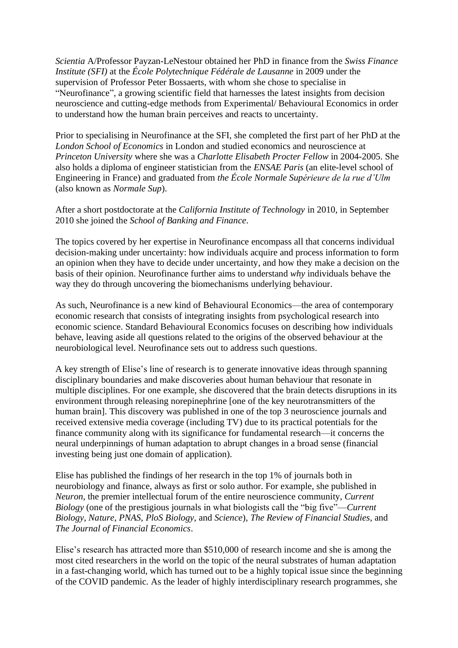*Scientia* A/Professor Payzan-LeNestour obtained her PhD in finance from the *Swiss Finance Institute (SFI)* at the *École Polytechnique Fédérale de Lausanne* in 2009 under the supervision of Professor Peter Bossaerts, with whom she chose to specialise in "Neurofinance", a growing scientific field that harnesses the latest insights from decision neuroscience and cutting-edge methods from Experimental/ Behavioural Economics in order to understand how the human brain perceives and reacts to uncertainty.

Prior to specialising in Neurofinance at the SFI, she completed the first part of her PhD at the *London School of Economics* in London and studied economics and neuroscience at *Princeton University* where she was a *Charlotte Elisabeth Procter Fellow* in 2004-2005. She also holds a diploma of engineer statistician from the *ENSAE Paris* (an elite-level school of Engineering in France) and graduated from *the École Normale Supérieure de la rue d'Ulm* (also known as *Normale Sup*).

After a short postdoctorate at the *California Institute of Technology* in 2010, in September 2010 she joined the *School of Banking and Finance*.

The topics covered by her expertise in Neurofinance encompass all that concerns individual decision-making under uncertainty: how individuals acquire and process information to form an opinion when they have to decide under uncertainty, and how they make a decision on the basis of their opinion. Neurofinance further aims to understand *why* individuals behave the way they do through uncovering the biomechanisms underlying behaviour.

As such, Neurofinance is a new kind of Behavioural Economics—the area of contemporary economic research that consists of integrating insights from psychological research into economic science. Standard Behavioural Economics focuses on describing how individuals behave, leaving aside all questions related to the origins of the observed behaviour at the neurobiological level. Neurofinance sets out to address such questions.

A key strength of Elise's line of research is to generate innovative ideas through spanning disciplinary boundaries and make discoveries about human behaviour that resonate in multiple disciplines. For one example, she discovered that the brain detects disruptions in its environment through releasing norepinephrine [one of the key neurotransmitters of the human brain]. This discovery was published in one of the top 3 neuroscience journals and received extensive media coverage (including TV) due to its practical potentials for the finance community along with its significance for fundamental research—it concerns the neural underpinnings of human adaptation to abrupt changes in a broad sense (financial investing being just one domain of application).

Elise has published the findings of her research in the top 1% of journals both in neurobiology and finance, always as first or solo author. For example, she published in *Neuron*, the premier intellectual forum of the entire neuroscience community, *Current Biology* (one of the prestigious journals in what biologists call the "big five"—*Current Biology*, *Nature*, *PNAS*, *PloS Biology*, and *Science*), *The Review of Financial Studies*, and *The Journal of Financial Economics*.

Elise's research has attracted more than \$510,000 of research income and she is among the most cited researchers in the world on the topic of the neural substrates of human adaptation in a fast-changing world, which has turned out to be a highly topical issue since the beginning of the COVID pandemic. As the leader of highly interdisciplinary research programmes, she